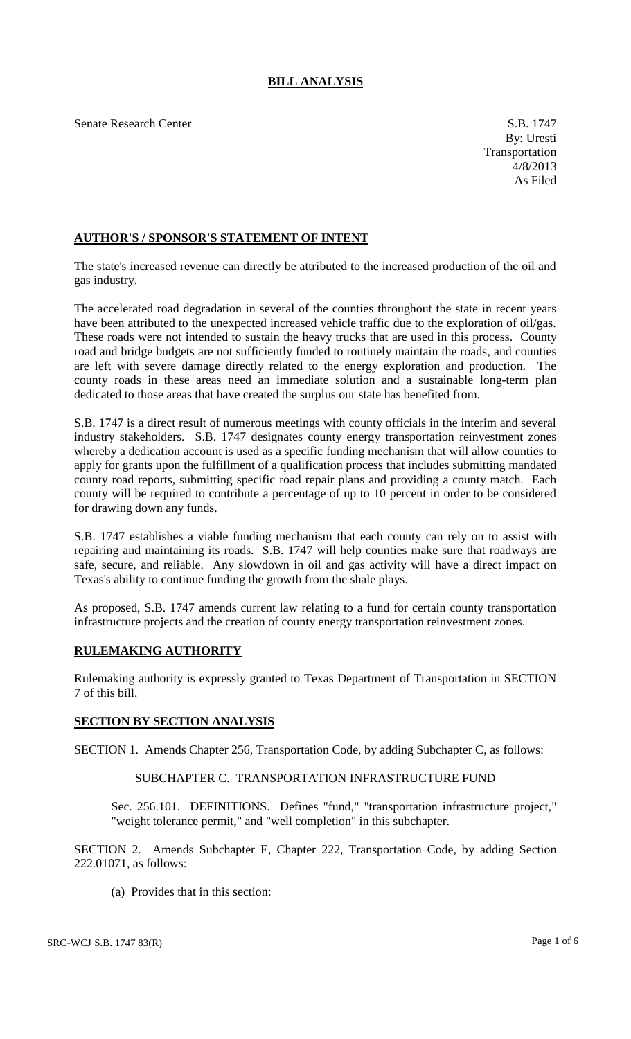# **BILL ANALYSIS**

Senate Research Center S.B. 1747

### **AUTHOR'S / SPONSOR'S STATEMENT OF INTENT**

The state's increased revenue can directly be attributed to the increased production of the oil and gas industry.

The accelerated road degradation in several of the counties throughout the state in recent years have been attributed to the unexpected increased vehicle traffic due to the exploration of oil/gas. These roads were not intended to sustain the heavy trucks that are used in this process. County road and bridge budgets are not sufficiently funded to routinely maintain the roads, and counties are left with severe damage directly related to the energy exploration and production. The county roads in these areas need an immediate solution and a sustainable long-term plan dedicated to those areas that have created the surplus our state has benefited from.

S.B. 1747 is a direct result of numerous meetings with county officials in the interim and several industry stakeholders. S.B. 1747 designates county energy transportation reinvestment zones whereby a dedication account is used as a specific funding mechanism that will allow counties to apply for grants upon the fulfillment of a qualification process that includes submitting mandated county road reports, submitting specific road repair plans and providing a county match. Each county will be required to contribute a percentage of up to 10 percent in order to be considered for drawing down any funds.

S.B. 1747 establishes a viable funding mechanism that each county can rely on to assist with repairing and maintaining its roads. S.B. 1747 will help counties make sure that roadways are safe, secure, and reliable. Any slowdown in oil and gas activity will have a direct impact on Texas's ability to continue funding the growth from the shale plays.

As proposed, S.B. 1747 amends current law relating to a fund for certain county transportation infrastructure projects and the creation of county energy transportation reinvestment zones.

# **RULEMAKING AUTHORITY**

Rulemaking authority is expressly granted to Texas Department of Transportation in SECTION 7 of this bill.

### **SECTION BY SECTION ANALYSIS**

SECTION 1. Amends Chapter 256, Transportation Code, by adding Subchapter C, as follows:

# SUBCHAPTER C. TRANSPORTATION INFRASTRUCTURE FUND

Sec. 256.101. DEFINITIONS. Defines "fund," "transportation infrastructure project," "weight tolerance permit," and "well completion" in this subchapter.

SECTION 2. Amends Subchapter E, Chapter 222, Transportation Code, by adding Section 222.01071, as follows:

(a) Provides that in this section: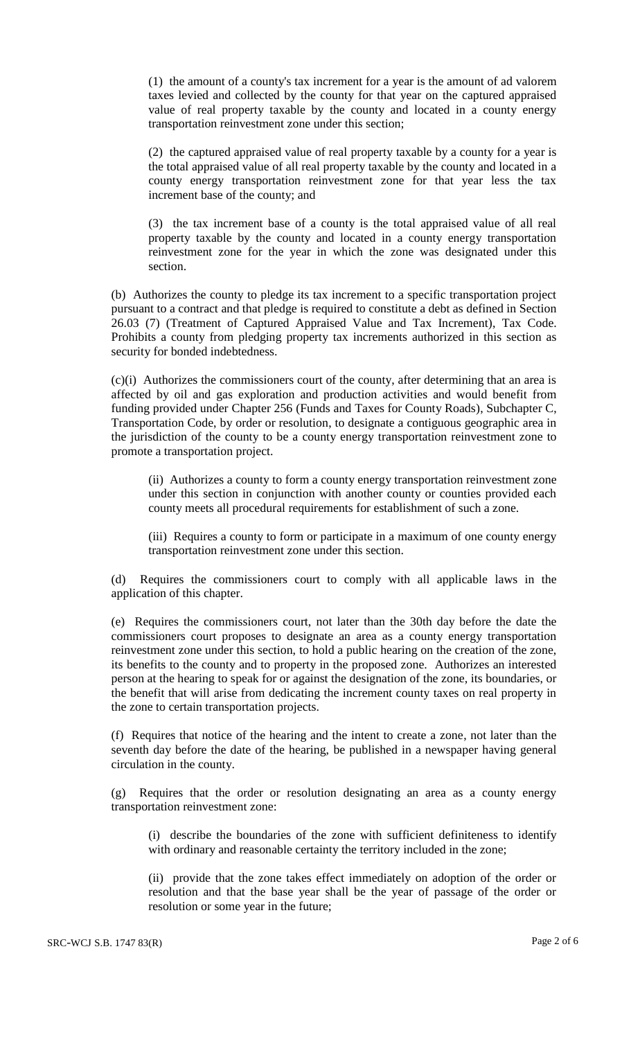(1) the amount of a county's tax increment for a year is the amount of ad valorem taxes levied and collected by the county for that year on the captured appraised value of real property taxable by the county and located in a county energy transportation reinvestment zone under this section;

(2) the captured appraised value of real property taxable by a county for a year is the total appraised value of all real property taxable by the county and located in a county energy transportation reinvestment zone for that year less the tax increment base of the county; and

(3) the tax increment base of a county is the total appraised value of all real property taxable by the county and located in a county energy transportation reinvestment zone for the year in which the zone was designated under this section.

(b) Authorizes the county to pledge its tax increment to a specific transportation project pursuant to a contract and that pledge is required to constitute a debt as defined in Section 26.03 (7) (Treatment of Captured Appraised Value and Tax Increment), Tax Code. Prohibits a county from pledging property tax increments authorized in this section as security for bonded indebtedness.

(c)(i) Authorizes the commissioners court of the county, after determining that an area is affected by oil and gas exploration and production activities and would benefit from funding provided under Chapter 256 (Funds and Taxes for County Roads), Subchapter C, Transportation Code, by order or resolution, to designate a contiguous geographic area in the jurisdiction of the county to be a county energy transportation reinvestment zone to promote a transportation project.

(ii) Authorizes a county to form a county energy transportation reinvestment zone under this section in conjunction with another county or counties provided each county meets all procedural requirements for establishment of such a zone.

(iii) Requires a county to form or participate in a maximum of one county energy transportation reinvestment zone under this section.

(d) Requires the commissioners court to comply with all applicable laws in the application of this chapter.

(e) Requires the commissioners court, not later than the 30th day before the date the commissioners court proposes to designate an area as a county energy transportation reinvestment zone under this section, to hold a public hearing on the creation of the zone, its benefits to the county and to property in the proposed zone. Authorizes an interested person at the hearing to speak for or against the designation of the zone, its boundaries, or the benefit that will arise from dedicating the increment county taxes on real property in the zone to certain transportation projects.

(f) Requires that notice of the hearing and the intent to create a zone, not later than the seventh day before the date of the hearing, be published in a newspaper having general circulation in the county.

(g) Requires that the order or resolution designating an area as a county energy transportation reinvestment zone:

(i) describe the boundaries of the zone with sufficient definiteness to identify with ordinary and reasonable certainty the territory included in the zone;

(ii) provide that the zone takes effect immediately on adoption of the order or resolution and that the base year shall be the year of passage of the order or resolution or some year in the future;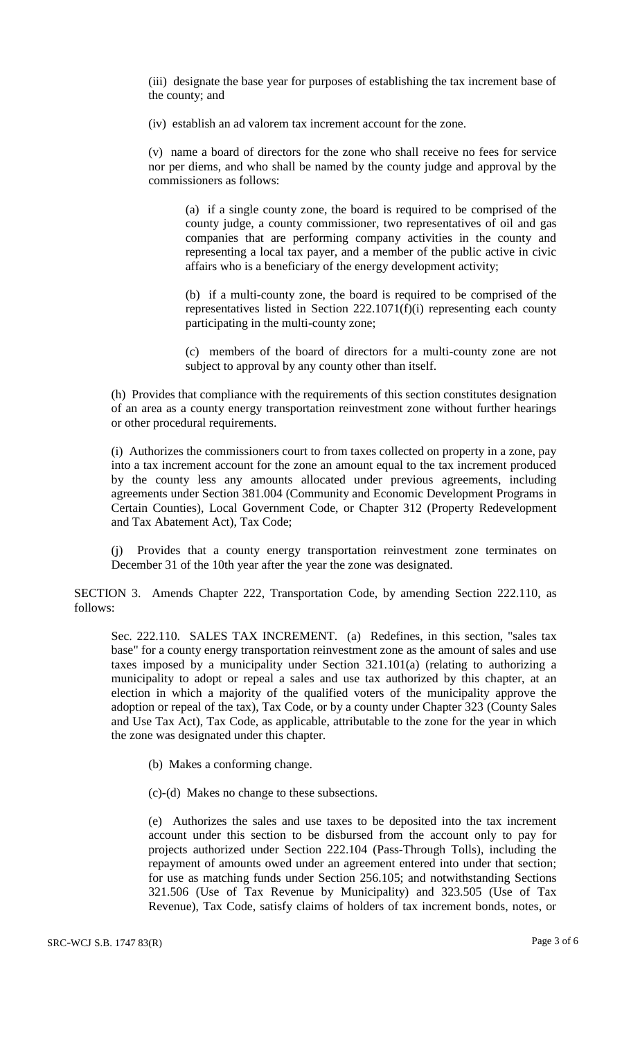(iii) designate the base year for purposes of establishing the tax increment base of the county; and

(iv) establish an ad valorem tax increment account for the zone.

(v) name a board of directors for the zone who shall receive no fees for service nor per diems, and who shall be named by the county judge and approval by the commissioners as follows:

(a) if a single county zone, the board is required to be comprised of the county judge, a county commissioner, two representatives of oil and gas companies that are performing company activities in the county and representing a local tax payer, and a member of the public active in civic affairs who is a beneficiary of the energy development activity;

(b) if a multi-county zone, the board is required to be comprised of the representatives listed in Section 222.1071(f)(i) representing each county participating in the multi-county zone;

(c) members of the board of directors for a multi-county zone are not subject to approval by any county other than itself.

(h) Provides that compliance with the requirements of this section constitutes designation of an area as a county energy transportation reinvestment zone without further hearings or other procedural requirements.

(i) Authorizes the commissioners court to from taxes collected on property in a zone, pay into a tax increment account for the zone an amount equal to the tax increment produced by the county less any amounts allocated under previous agreements, including agreements under Section 381.004 (Community and Economic Development Programs in Certain Counties), Local Government Code, or Chapter 312 (Property Redevelopment and Tax Abatement Act), Tax Code;

(j) Provides that a county energy transportation reinvestment zone terminates on December 31 of the 10th year after the year the zone was designated.

SECTION 3. Amends Chapter 222, Transportation Code, by amending Section 222.110, as follows:

Sec. 222.110. SALES TAX INCREMENT. (a) Redefines, in this section, "sales tax base" for a county energy transportation reinvestment zone as the amount of sales and use taxes imposed by a municipality under Section 321.101(a) (relating to authorizing a municipality to adopt or repeal a sales and use tax authorized by this chapter, at an election in which a majority of the qualified voters of the municipality approve the adoption or repeal of the tax), Tax Code, or by a county under Chapter 323 (County Sales and Use Tax Act), Tax Code, as applicable, attributable to the zone for the year in which the zone was designated under this chapter.

- (b) Makes a conforming change.
- (c)-(d) Makes no change to these subsections.

(e) Authorizes the sales and use taxes to be deposited into the tax increment account under this section to be disbursed from the account only to pay for projects authorized under Section 222.104 (Pass-Through Tolls), including the repayment of amounts owed under an agreement entered into under that section; for use as matching funds under Section 256.105; and notwithstanding Sections 321.506 (Use of Tax Revenue by Municipality) and 323.505 (Use of Tax Revenue), Tax Code, satisfy claims of holders of tax increment bonds, notes, or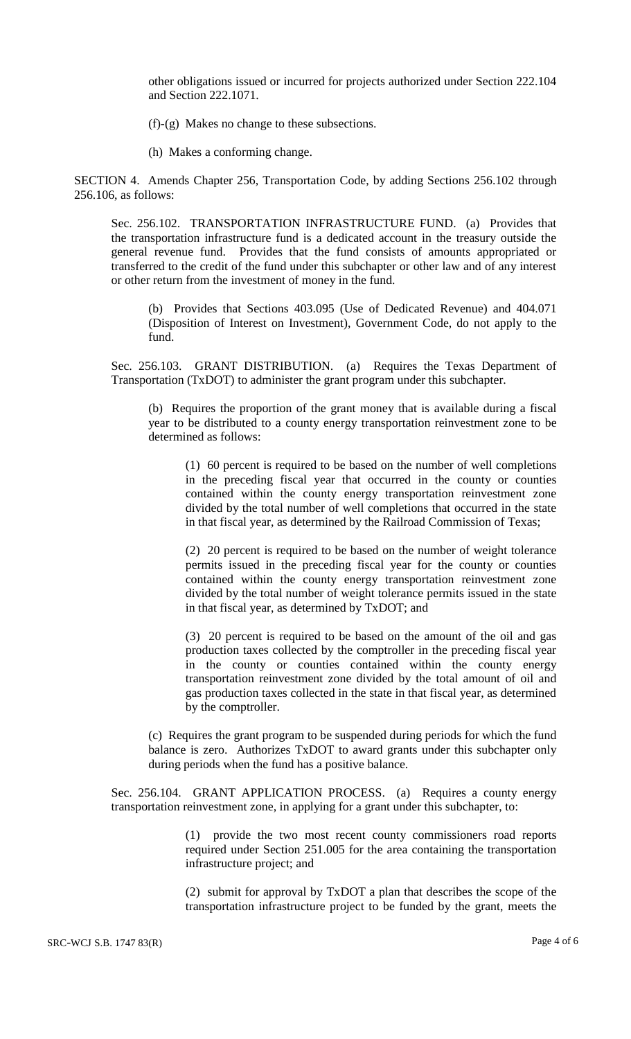other obligations issued or incurred for projects authorized under Section 222.104 and Section 222.1071.

(f)-(g) Makes no change to these subsections.

(h) Makes a conforming change.

SECTION 4. Amends Chapter 256, Transportation Code, by adding Sections 256.102 through 256.106, as follows:

Sec. 256.102. TRANSPORTATION INFRASTRUCTURE FUND. (a) Provides that the transportation infrastructure fund is a dedicated account in the treasury outside the general revenue fund. Provides that the fund consists of amounts appropriated or transferred to the credit of the fund under this subchapter or other law and of any interest or other return from the investment of money in the fund.

(b) Provides that Sections 403.095 (Use of Dedicated Revenue) and 404.071 (Disposition of Interest on Investment), Government Code, do not apply to the fund.

Sec. 256.103. GRANT DISTRIBUTION. (a) Requires the Texas Department of Transportation (TxDOT) to administer the grant program under this subchapter.

(b) Requires the proportion of the grant money that is available during a fiscal year to be distributed to a county energy transportation reinvestment zone to be determined as follows:

(1) 60 percent is required to be based on the number of well completions in the preceding fiscal year that occurred in the county or counties contained within the county energy transportation reinvestment zone divided by the total number of well completions that occurred in the state in that fiscal year, as determined by the Railroad Commission of Texas;

(2) 20 percent is required to be based on the number of weight tolerance permits issued in the preceding fiscal year for the county or counties contained within the county energy transportation reinvestment zone divided by the total number of weight tolerance permits issued in the state in that fiscal year, as determined by TxDOT; and

(3) 20 percent is required to be based on the amount of the oil and gas production taxes collected by the comptroller in the preceding fiscal year in the county or counties contained within the county energy transportation reinvestment zone divided by the total amount of oil and gas production taxes collected in the state in that fiscal year, as determined by the comptroller.

(c) Requires the grant program to be suspended during periods for which the fund balance is zero. Authorizes TxDOT to award grants under this subchapter only during periods when the fund has a positive balance.

Sec. 256.104. GRANT APPLICATION PROCESS. (a) Requires a county energy transportation reinvestment zone, in applying for a grant under this subchapter, to:

> (1) provide the two most recent county commissioners road reports required under Section 251.005 for the area containing the transportation infrastructure project; and

> (2) submit for approval by TxDOT a plan that describes the scope of the transportation infrastructure project to be funded by the grant, meets the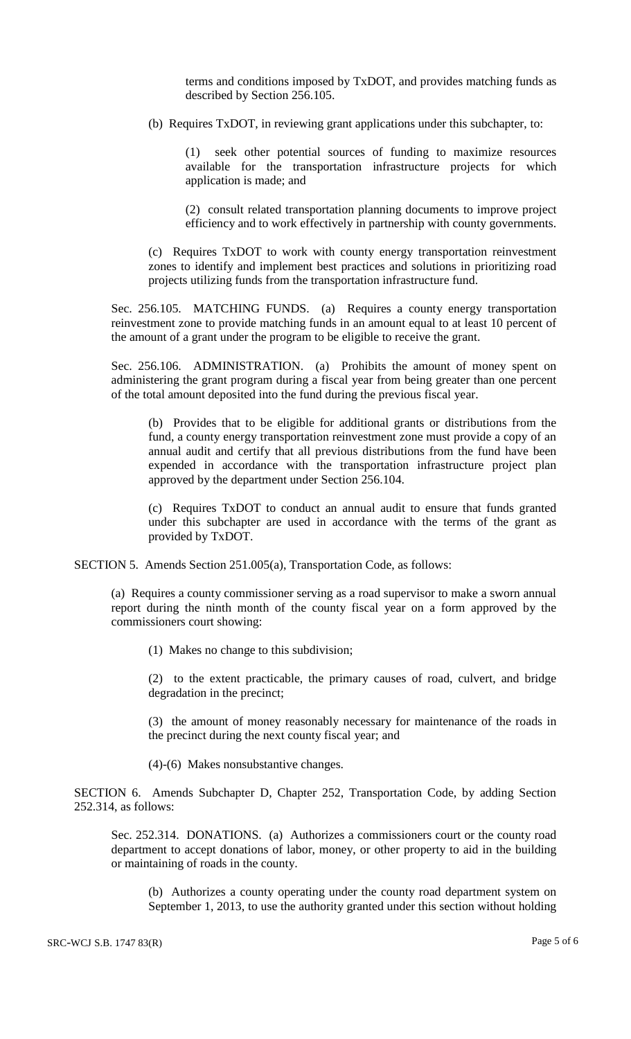terms and conditions imposed by TxDOT, and provides matching funds as described by Section 256.105.

(b) Requires TxDOT, in reviewing grant applications under this subchapter, to:

(1) seek other potential sources of funding to maximize resources available for the transportation infrastructure projects for which application is made; and

(2) consult related transportation planning documents to improve project efficiency and to work effectively in partnership with county governments.

(c) Requires TxDOT to work with county energy transportation reinvestment zones to identify and implement best practices and solutions in prioritizing road projects utilizing funds from the transportation infrastructure fund.

Sec. 256.105. MATCHING FUNDS. (a) Requires a county energy transportation reinvestment zone to provide matching funds in an amount equal to at least 10 percent of the amount of a grant under the program to be eligible to receive the grant.

Sec. 256.106. ADMINISTRATION. (a) Prohibits the amount of money spent on administering the grant program during a fiscal year from being greater than one percent of the total amount deposited into the fund during the previous fiscal year.

(b) Provides that to be eligible for additional grants or distributions from the fund, a county energy transportation reinvestment zone must provide a copy of an annual audit and certify that all previous distributions from the fund have been expended in accordance with the transportation infrastructure project plan approved by the department under Section 256.104.

(c) Requires TxDOT to conduct an annual audit to ensure that funds granted under this subchapter are used in accordance with the terms of the grant as provided by TxDOT.

SECTION 5. Amends Section 251.005(a), Transportation Code, as follows:

(a) Requires a county commissioner serving as a road supervisor to make a sworn annual report during the ninth month of the county fiscal year on a form approved by the commissioners court showing:

(1) Makes no change to this subdivision;

(2) to the extent practicable, the primary causes of road, culvert, and bridge degradation in the precinct;

(3) the amount of money reasonably necessary for maintenance of the roads in the precinct during the next county fiscal year; and

(4)-(6) Makes nonsubstantive changes.

SECTION 6. Amends Subchapter D, Chapter 252, Transportation Code, by adding Section 252.314, as follows:

Sec. 252.314. DONATIONS. (a) Authorizes a commissioners court or the county road department to accept donations of labor, money, or other property to aid in the building or maintaining of roads in the county.

(b) Authorizes a county operating under the county road department system on September 1, 2013, to use the authority granted under this section without holding